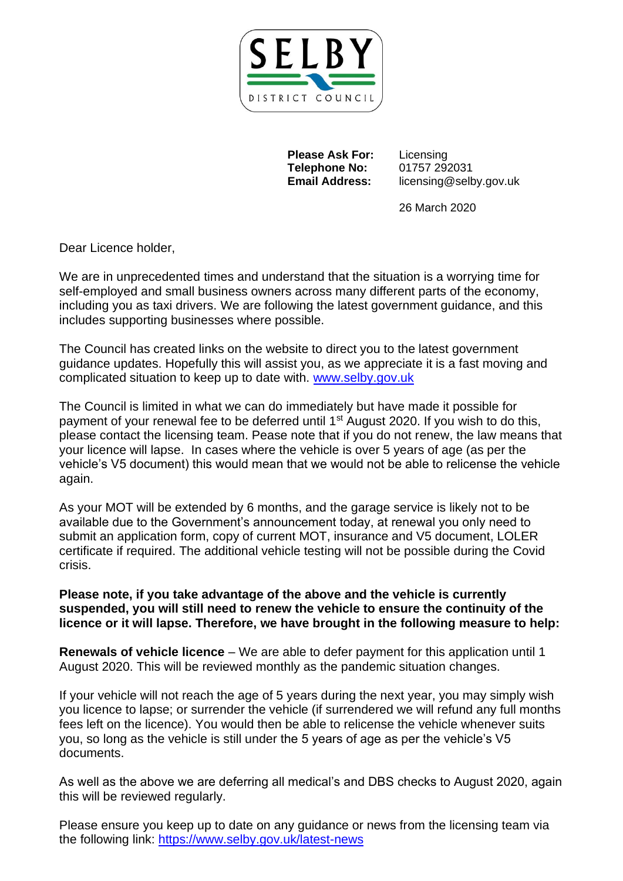

**Please Ask For:** Licensing **Telephone No:** 01757 292031

**Email Address:** licensing@selby.gov.uk

26 March 2020

Dear Licence holder,

We are in unprecedented times and understand that the situation is a worrying time for self-employed and small business owners across many different parts of the economy, including you as taxi drivers. We are following the latest government guidance, and this includes supporting businesses where possible.

The Council has created links on the website to direct you to the latest government guidance updates. Hopefully this will assist you, as we appreciate it is a fast moving and complicated situation to keep up to date with. [www.selby.gov.uk](http://www.selby.gov.uk/)

The Council is limited in what we can do immediately but have made it possible for payment of your renewal fee to be deferred until 1<sup>st</sup> August 2020. If you wish to do this, please contact the licensing team. Pease note that if you do not renew, the law means that your licence will lapse. In cases where the vehicle is over 5 years of age (as per the vehicle's V5 document) this would mean that we would not be able to relicense the vehicle again.

As your MOT will be extended by 6 months, and the garage service is likely not to be available due to the Government's announcement today, at renewal you only need to submit an application form, copy of current MOT, insurance and V5 document, LOLER certificate if required. The additional vehicle testing will not be possible during the Covid crisis.

**Please note, if you take advantage of the above and the vehicle is currently suspended, you will still need to renew the vehicle to ensure the continuity of the licence or it will lapse. Therefore, we have brought in the following measure to help:**

**Renewals of vehicle licence** – We are able to defer payment for this application until 1 August 2020. This will be reviewed monthly as the pandemic situation changes.

If your vehicle will not reach the age of 5 years during the next year, you may simply wish you licence to lapse; or surrender the vehicle (if surrendered we will refund any full months fees left on the licence). You would then be able to relicense the vehicle whenever suits you, so long as the vehicle is still under the 5 years of age as per the vehicle's V5 documents.

As well as the above we are deferring all medical's and DBS checks to August 2020, again this will be reviewed regularly.

Please ensure you keep up to date on any guidance or news from the licensing team via the following link:<https://www.selby.gov.uk/latest-news>